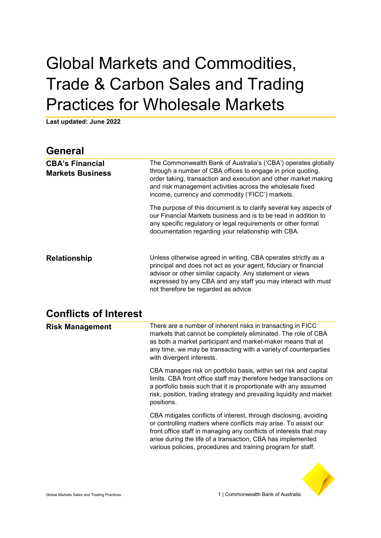# Global Markets and Commodities, Trade & Carbon Sales and Trading Practices for Wholesale Markets

**Last updated: June 2022** 

| <b>General</b>                                    |                                                                                                                                                                                                                                                                                                                   |
|---------------------------------------------------|-------------------------------------------------------------------------------------------------------------------------------------------------------------------------------------------------------------------------------------------------------------------------------------------------------------------|
| <b>CBA's Financial</b><br><b>Markets Business</b> | The Commonwealth Bank of Australia's ('CBA') operates globally<br>through a number of CBA offices to engage in price quoting,<br>order taking, transaction and execution and other market making<br>and risk management activities across the wholesale fixed<br>income, currency and commodity ('FICC') markets. |
|                                                   | The purpose of this document is to clarify several key aspects of<br>our Financial Markets business and is to be read in addition to<br>any specific regulatory or legal requirements or other formal<br>documentation regarding your relationship with CBA.                                                      |
| <b>Relationship</b>                               | Unless otherwise agreed in writing, CBA operates strictly as a<br>principal and does not act as your agent, fiduciary or financial<br>advisor or other similar capacity. Any statement or views<br>expressed by any CBA and any staff you may interact with must<br>not therefore be regarded as advice.          |

#### **Conflicts of Interest**

| <b>Risk Management</b> | There are a number of inherent risks in transacting in FICC<br>markets that cannot be completely eliminated. The role of CBA<br>as both a market participant and market-maker means that at<br>any time, we may be transacting with a variety of counterparties<br>with divergent interests.                                              |
|------------------------|-------------------------------------------------------------------------------------------------------------------------------------------------------------------------------------------------------------------------------------------------------------------------------------------------------------------------------------------|
|                        | CBA manages risk on portfolio basis, within set risk and capital<br>limits. CBA front office staff may therefore hedge transactions on<br>a portfolio basis such that it is proportionate with any assumed<br>risk, position, trading strategy and prevailing liquidity and market<br>positions.                                          |
|                        | CBA mitigates conflicts of interest, through disclosing, avoiding<br>or controlling matters where conflicts may arise. To assist our<br>front office staff in managing any conflicts of interests that may<br>arise during the life of a transaction, CBA has implemented<br>various policies, procedures and training program for staff. |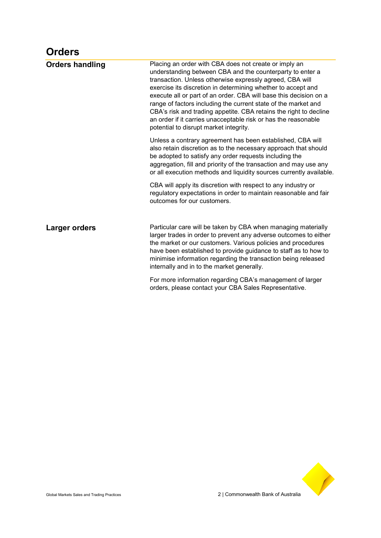#### **Orders**

| <b>Orders handling</b> | Placing an order with CBA does not create or imply an<br>understanding between CBA and the counterparty to enter a<br>transaction. Unless otherwise expressly agreed, CBA will<br>exercise its discretion in determining whether to accept and<br>execute all or part of an order. CBA will base this decision on a<br>range of factors including the current state of the market and<br>CBA's risk and trading appetite. CBA retains the right to decline<br>an order if it carries unacceptable risk or has the reasonable<br>potential to disrupt market integrity. |
|------------------------|------------------------------------------------------------------------------------------------------------------------------------------------------------------------------------------------------------------------------------------------------------------------------------------------------------------------------------------------------------------------------------------------------------------------------------------------------------------------------------------------------------------------------------------------------------------------|
|                        | Unless a contrary agreement has been established, CBA will<br>also retain discretion as to the necessary approach that should<br>be adopted to satisfy any order requests including the<br>aggregation, fill and priority of the transaction and may use any<br>or all execution methods and liquidity sources currently available.                                                                                                                                                                                                                                    |
|                        | CBA will apply its discretion with respect to any industry or<br>regulatory expectations in order to maintain reasonable and fair<br>outcomes for our customers.                                                                                                                                                                                                                                                                                                                                                                                                       |
| Larger orders          | Particular care will be taken by CBA when managing materially<br>larger trades in order to prevent any adverse outcomes to either<br>the market or our customers. Various policies and procedures<br>have been established to provide guidance to staff as to how to<br>minimise information regarding the transaction being released<br>internally and in to the market generally.                                                                                                                                                                                    |
|                        | For more information regarding CBA's management of larger<br>orders, please contact your CBA Sales Representative.                                                                                                                                                                                                                                                                                                                                                                                                                                                     |

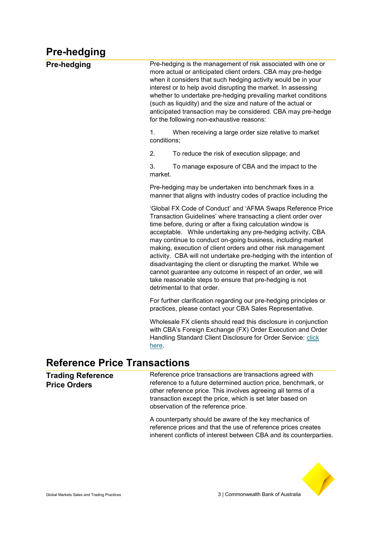# **Pre-hedging**

| <b>Pre-hedging</b> | Pre-hedging is the management of risk associated with one or<br>more actual or anticipated client orders. CBA may pre-hedge<br>when it considers that such hedging activity would be in your<br>interest or to help avoid disrupting the market. In assessing<br>whether to undertake pre-hedging prevailing market conditions<br>(such as liquidity) and the size and nature of the actual or<br>anticipated transaction may be considered. CBA may pre-hedge<br>for the following non-exhaustive reasons:                                                                                                                                                                              |
|--------------------|------------------------------------------------------------------------------------------------------------------------------------------------------------------------------------------------------------------------------------------------------------------------------------------------------------------------------------------------------------------------------------------------------------------------------------------------------------------------------------------------------------------------------------------------------------------------------------------------------------------------------------------------------------------------------------------|
|                    | 1.<br>When receiving a large order size relative to market<br>conditions;                                                                                                                                                                                                                                                                                                                                                                                                                                                                                                                                                                                                                |
|                    | 2.<br>To reduce the risk of execution slippage; and                                                                                                                                                                                                                                                                                                                                                                                                                                                                                                                                                                                                                                      |
|                    | 3.<br>To manage exposure of CBA and the impact to the<br>market.                                                                                                                                                                                                                                                                                                                                                                                                                                                                                                                                                                                                                         |
|                    | Pre-hedging may be undertaken into benchmark fixes in a<br>manner that aligns with industry codes of practice including the                                                                                                                                                                                                                                                                                                                                                                                                                                                                                                                                                              |
|                    | 'Global FX Code of Conduct' and 'AFMA Swaps Reference Price<br>Transaction Guidelines' where transacting a client order over<br>time before, during or after a fixing calculation window is<br>acceptable. While undertaking any pre-hedging activity, CBA<br>may continue to conduct on-going business, including market<br>making, execution of client orders and other risk management<br>activity. CBA will not undertake pre-hedging with the intention of<br>disadvantaging the client or disrupting the market. While we<br>cannot guarantee any outcome in respect of an order, we will<br>take reasonable steps to ensure that pre-hedging is not<br>detrimental to that order. |
|                    | For further clarification regarding our pre-hedging principles or<br>practices, please contact your CBA Sales Representative.                                                                                                                                                                                                                                                                                                                                                                                                                                                                                                                                                            |
|                    | Wholesale FX clients should read this disclosure in conjunction<br>with CBA's Foreign Exchange (FX) Order Execution and Order<br>Handling Standard Client Disclosure for Order Service: click<br>here.                                                                                                                                                                                                                                                                                                                                                                                                                                                                                   |
|                    |                                                                                                                                                                                                                                                                                                                                                                                                                                                                                                                                                                                                                                                                                          |

#### **Reference Price Transactions**

| <b>Trading Reference</b><br><b>Price Orders</b> | Reference price transactions are transactions agreed with<br>reference to a future determined auction price, benchmark, or<br>other reference price. This involves agreeing all terms of a<br>transaction except the price, which is set later based on<br>observation of the reference price. |
|-------------------------------------------------|------------------------------------------------------------------------------------------------------------------------------------------------------------------------------------------------------------------------------------------------------------------------------------------------|
|                                                 | A counterparty should be aware of the key mechanics of<br>reference prices and that the use of reference prices creates<br>inherent conflicts of interest between CBA and its counterparties.                                                                                                  |

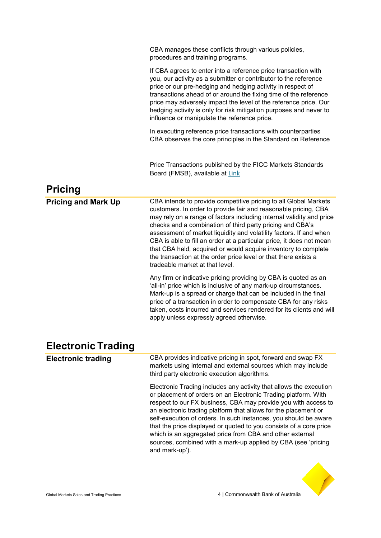|                            | CBA manages these conflicts through various policies,<br>procedures and training programs.                                                                                                                                                                                                                                                                                                                                                                                                                                                                                                                                                                                                                                                                                                                                                                                 |
|----------------------------|----------------------------------------------------------------------------------------------------------------------------------------------------------------------------------------------------------------------------------------------------------------------------------------------------------------------------------------------------------------------------------------------------------------------------------------------------------------------------------------------------------------------------------------------------------------------------------------------------------------------------------------------------------------------------------------------------------------------------------------------------------------------------------------------------------------------------------------------------------------------------|
|                            | If CBA agrees to enter into a reference price transaction with<br>you, our activity as a submitter or contributor to the reference<br>price or our pre-hedging and hedging activity in respect of<br>transactions ahead of or around the fixing time of the reference<br>price may adversely impact the level of the reference price. Our<br>hedging activity is only for risk mitigation purposes and never to<br>influence or manipulate the reference price.                                                                                                                                                                                                                                                                                                                                                                                                            |
|                            | In executing reference price transactions with counterparties<br>CBA observes the core principles in the Standard on Reference                                                                                                                                                                                                                                                                                                                                                                                                                                                                                                                                                                                                                                                                                                                                             |
|                            | Price Transactions published by the FICC Markets Standards<br>Board (FMSB), available at Link                                                                                                                                                                                                                                                                                                                                                                                                                                                                                                                                                                                                                                                                                                                                                                              |
| <b>Pricing</b>             |                                                                                                                                                                                                                                                                                                                                                                                                                                                                                                                                                                                                                                                                                                                                                                                                                                                                            |
| <b>Pricing and Mark Up</b> | CBA intends to provide competitive pricing to all Global Markets<br>customers. In order to provide fair and reasonable pricing, CBA<br>may rely on a range of factors including internal validity and price<br>checks and a combination of third party pricing and CBA's<br>assessment of market liquidity and volatility factors. If and when<br>CBA is able to fill an order at a particular price, it does not mean<br>that CBA held, acquired or would acquire inventory to complete<br>the transaction at the order price level or that there exists a<br>tradeable market at that level.<br>Any firm or indicative pricing providing by CBA is quoted as an<br>'all-in' price which is inclusive of any mark-up circumstances.<br>Mark-up is a spread or charge that can be included in the final<br>price of a transaction in order to compensate CBA for any risks |
|                            | taken, costs incurred and services rendered for its clients and will<br>apply unless expressly agreed otherwise.                                                                                                                                                                                                                                                                                                                                                                                                                                                                                                                                                                                                                                                                                                                                                           |
| <b>Electronic Trading</b>  |                                                                                                                                                                                                                                                                                                                                                                                                                                                                                                                                                                                                                                                                                                                                                                                                                                                                            |
| <b>Electronic trading</b>  | CBA provides indicative pricing in spot, forward and swap FX<br>markets using internal and external sources which may include<br>third party electronic execution algorithms.                                                                                                                                                                                                                                                                                                                                                                                                                                                                                                                                                                                                                                                                                              |
|                            | Electronic Trading includes any activity that allows the execution<br>or placement of orders on an Electronic Trading platform. With<br>respect to our FX business, CBA may provide you with access to<br>an electronic trading platform that allows for the placement or<br>self-execution of orders. In such instances, you should be aware<br>that the price displayed or quoted to you consists of a core price<br>which is an aggregated price from CBA and other external<br>sources, combined with a mark-up applied by CBA (see 'pricing<br>and mark-up').                                                                                                                                                                                                                                                                                                         |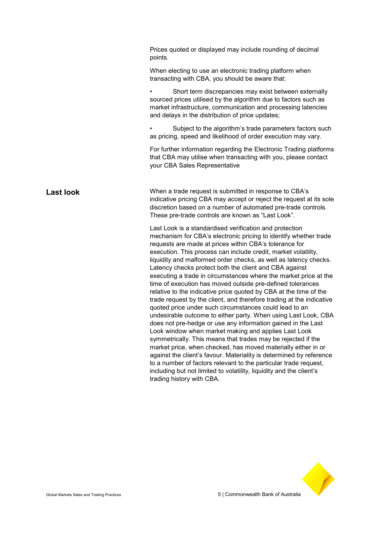|                  | Prices quoted or displayed may include rounding of decimal<br>points.                                                                                                                                                                                                                                                                                                                                                                                                                                                                                                                                                                                                                                                                                                                                                                                                                                                                                                                                                                                                                                                                                                                                                                                                                                    |
|------------------|----------------------------------------------------------------------------------------------------------------------------------------------------------------------------------------------------------------------------------------------------------------------------------------------------------------------------------------------------------------------------------------------------------------------------------------------------------------------------------------------------------------------------------------------------------------------------------------------------------------------------------------------------------------------------------------------------------------------------------------------------------------------------------------------------------------------------------------------------------------------------------------------------------------------------------------------------------------------------------------------------------------------------------------------------------------------------------------------------------------------------------------------------------------------------------------------------------------------------------------------------------------------------------------------------------|
|                  | When electing to use an electronic trading platform when<br>transacting with CBA, you should be aware that:                                                                                                                                                                                                                                                                                                                                                                                                                                                                                                                                                                                                                                                                                                                                                                                                                                                                                                                                                                                                                                                                                                                                                                                              |
|                  | Short term discrepancies may exist between externally<br>sourced prices utilised by the algorithm due to factors such as<br>market infrastructure, communication and processing latencies<br>and delays in the distribution of price updates;                                                                                                                                                                                                                                                                                                                                                                                                                                                                                                                                                                                                                                                                                                                                                                                                                                                                                                                                                                                                                                                            |
|                  | Subject to the algorithm's trade parameters factors such<br>as pricing, speed and likelihood of order execution may vary.                                                                                                                                                                                                                                                                                                                                                                                                                                                                                                                                                                                                                                                                                                                                                                                                                                                                                                                                                                                                                                                                                                                                                                                |
|                  | For further information regarding the Electronic Trading platforms<br>that CBA may utilise when transacting with you, please contact<br>your CBA Sales Representative                                                                                                                                                                                                                                                                                                                                                                                                                                                                                                                                                                                                                                                                                                                                                                                                                                                                                                                                                                                                                                                                                                                                    |
| <b>Last look</b> | When a trade request is submitted in response to CBA's<br>indicative pricing CBA may accept or reject the request at its sole<br>discretion based on a number of automated pre-trade controls.<br>These pre-trade controls are known as "Last Look".                                                                                                                                                                                                                                                                                                                                                                                                                                                                                                                                                                                                                                                                                                                                                                                                                                                                                                                                                                                                                                                     |
|                  | Last Look is a standardised verification and protection<br>mechanism for CBA's electronic pricing to identify whether trade<br>requests are made at prices within CBA's tolerance for<br>execution. This process can include credit, market volatility,<br>liquidity and malformed order checks, as well as latency checks.<br>Latency checks protect both the client and CBA against<br>executing a trade in circumstances where the market price at the<br>time of execution has moved outside pre-defined tolerances<br>relative to the indicative price quoted by CBA at the time of the<br>trade request by the client, and therefore trading at the indicative<br>quoted price under such circumstances could lead to an<br>undesirable outcome to either party. When using Last Look, CBA<br>does not pre-hedge or use any information gained in the Last<br>Look window when market making and applies Last Look<br>symmetrically. This means that trades may be rejected if the<br>market price, when checked, has moved materially either in or<br>against the client's favour. Materiality is determined by reference<br>to a number of factors relevant to the particular trade request,<br>including but not limited to volatility, liquidity and the client's<br>trading history with CBA. |

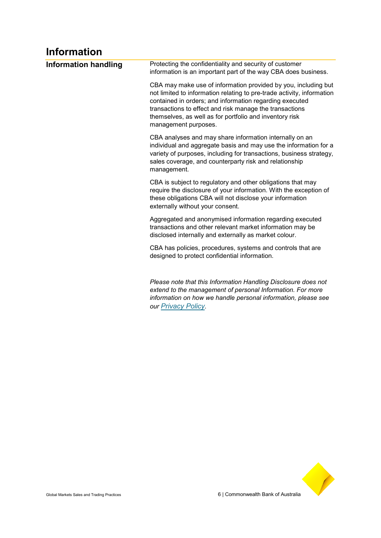# **Information**

| <b>Information handling</b> | Protecting the confidentiality and security of customer<br>information is an important part of the way CBA does business.                                                                                                                                                                                                                         |
|-----------------------------|---------------------------------------------------------------------------------------------------------------------------------------------------------------------------------------------------------------------------------------------------------------------------------------------------------------------------------------------------|
|                             | CBA may make use of information provided by you, including but<br>not limited to information relating to pre-trade activity, information<br>contained in orders; and information regarding executed<br>transactions to effect and risk manage the transactions<br>themselves, as well as for portfolio and inventory risk<br>management purposes. |
|                             | CBA analyses and may share information internally on an<br>individual and aggregate basis and may use the information for a<br>variety of purposes, including for transactions, business strategy,<br>sales coverage, and counterparty risk and relationship<br>management.                                                                       |
|                             | CBA is subject to regulatory and other obligations that may<br>require the disclosure of your information. With the exception of<br>these obligations CBA will not disclose your information<br>externally without your consent.                                                                                                                  |
|                             | Aggregated and anonymised information regarding executed<br>transactions and other relevant market information may be<br>disclosed internally and externally as market colour.                                                                                                                                                                    |
|                             | CBA has policies, procedures, systems and controls that are<br>designed to protect confidential information.                                                                                                                                                                                                                                      |
|                             | Please note that this Information Handling Disclosure does not<br>extend to the management of personal Information. For more<br>information on how we handle personal information, please see<br>our Privacy Policy.                                                                                                                              |